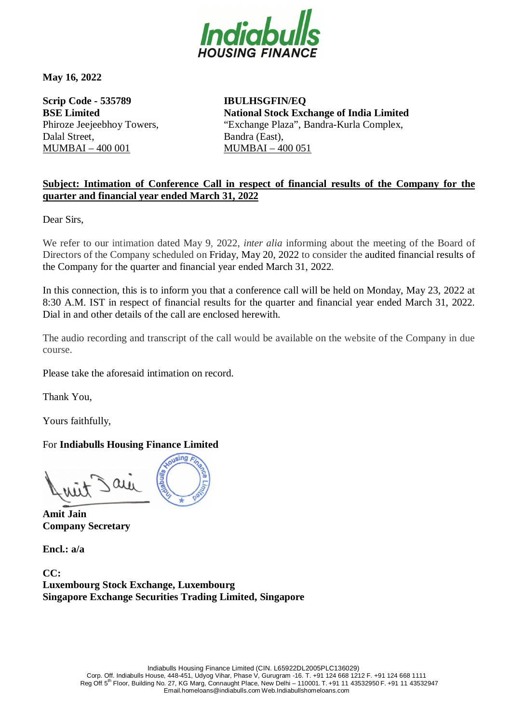

**May 16, 2022**

**Scrip Code - 535789 BSE Limited**  Phiroze Jeejeebhoy Towers, Dalal Street, MUMBAI – 400 001

**IBULHSGFIN/EQ National Stock Exchange of India Limited** "Exchange Plaza", Bandra-Kurla Complex, Bandra (East), MUMBAI – 400 051

## **Subject: Intimation of Conference Call in respect of financial results of the Company for the quarter and financial year ended March 31, 2022**

Dear Sirs,

We refer to our intimation dated May 9, 2022, *inter alia* informing about the meeting of the Board of Directors of the Company scheduled on Friday, May 20, 2022 to consider the audited financial results of the Company for the quarter and financial year ended March 31, 2022.

In this connection, this is to inform you that a conference call will be held on Monday, May 23, 2022 at 8:30 A.M. IST in respect of financial results for the quarter and financial year ended March 31, 2022. Dial in and other details of the call are enclosed herewith.

The audio recording and transcript of the call would be available on the website of the Company in due course.

Please take the aforesaid intimation on record.

Thank You,

Yours faithfully,

## For **Indiabulls Housing Finance Limited**

sing a  $\alpha$ 

**Amit Jain Company Secretary**

**Encl.: a/a**

**CC: Luxembourg Stock Exchange, Luxembourg Singapore Exchange Securities Trading Limited, Singapore**